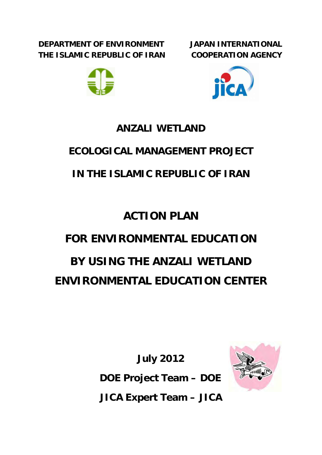**DEPARTMENT OF ENVIRONMENT THE ISLAMIC REPUBLIC OF IRAN**  **JAPAN INTERNATIONAL COOPERATION AGENCY**





# **ANZALI WETLAND**

# **ECOLOGICAL MANAGEMENT PROJECT**

# **IN THE ISLAMIC REPUBLIC OF IRAN**

# **ACTION PLAN**

# **FOR ENVIRONMENTAL EDUCATION BY USING THE ANZALI WETLAND ENVIRONMENTAL EDUCATION CENTER**

**July 2012 DOE Project Team – DOE JICA Expert Team – JICA** 

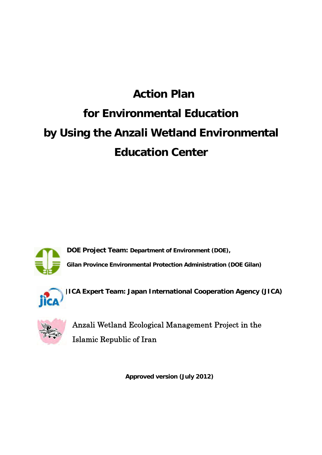# **Action Plan for Environmental Education by Using the Anzali Wetland Environmental Education Center**



**DOE Project Team: Department of Environment (DOE),**

**Gilan Province Environmental Protection Administration (DOE Gilan)** 



**JICA Expert Team: Japan International Cooperation Agency (JICA)**



Anzali Wetland Ecological Management Project in the Islamic Republic of Iran

**Approved version (July 2012)**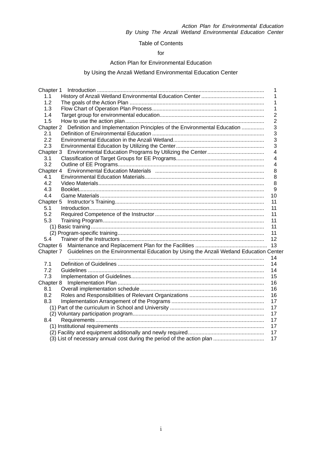#### Table of Contents

#### for

#### Action Plan for Environmental Education

#### by Using the Anzali Wetland Environmental Education Center

|                                                                                                  | 1              |
|--------------------------------------------------------------------------------------------------|----------------|
| 1.1                                                                                              | 1              |
| 1.2                                                                                              | 1              |
| 1.3                                                                                              | 1              |
| 1.4                                                                                              | 2              |
| 1.5                                                                                              | $\overline{2}$ |
| Chapter 2 Definition and Implementation Principles of the Environmental Education                | 3              |
| 2.1                                                                                              | 3              |
| 2.2                                                                                              | 3              |
| 2.3                                                                                              | 3              |
|                                                                                                  | 4              |
| 3.1                                                                                              | 4              |
| 3.2                                                                                              | 4              |
|                                                                                                  | 8              |
| 4.1                                                                                              | 8              |
| 4.2                                                                                              | 8              |
| 4.3                                                                                              | 9              |
| 4.4                                                                                              | 10             |
|                                                                                                  | 11             |
| 5.1                                                                                              | 11             |
| 5.2                                                                                              | 11             |
| 5.3                                                                                              | 11             |
|                                                                                                  | 11             |
|                                                                                                  | 11             |
| 5.4                                                                                              | 12             |
|                                                                                                  | 13             |
| Chapter 7 Guidelines on the Environmental Education by Using the Anzali Wetland Education Center |                |
|                                                                                                  | 14             |
| 7.1                                                                                              | 14             |
| 7.2                                                                                              | 14             |
| 7.3                                                                                              | 15             |
|                                                                                                  | 16             |
| 8.1                                                                                              | 16             |
| 8.2                                                                                              | 16             |
| 8.3                                                                                              | 17             |
|                                                                                                  | 17             |
|                                                                                                  | 17             |
| 8.4                                                                                              | 17             |
|                                                                                                  | 17             |
|                                                                                                  | 17             |
|                                                                                                  | 17             |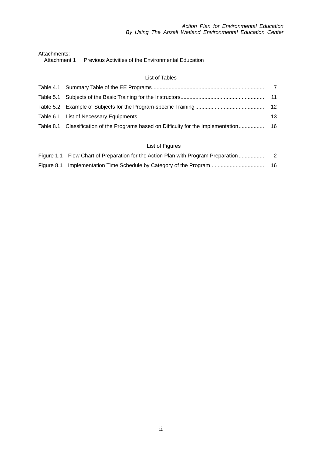Attachments:<br>Attachment 1

Previous Activities of the Environmental Education

#### List of Tables

|  | -13 |
|--|-----|
|  |     |
|  |     |

#### List of Figures

| Figure 1.1 Flow Chart of Preparation for the Action Plan with Program Preparation |    |
|-----------------------------------------------------------------------------------|----|
|                                                                                   | 16 |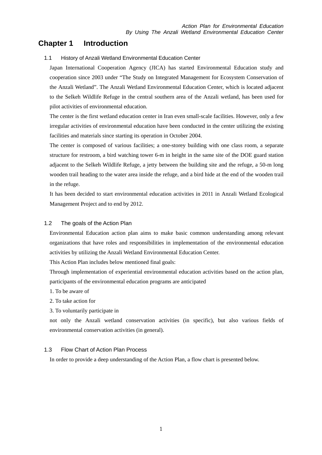### **Chapter 1 Introduction**

1.1 History of Anzali Wetland Environmental Education Center

Japan International Cooperation Agency (JICA) has started Environmental Education study and cooperation since 2003 under "The Study on Integrated Management for Ecosystem Conservation of the Anzali Wetland". The Anzali Wetland Environmental Education Center, which is located adjacent to the Selkeh Wildlife Refuge in the central southern area of the Anzali wetland, has been used for pilot activities of environmental education.

The center is the first wetland education center in Iran even small-scale facilities. However, only a few irregular activities of environmental education have been conducted in the center utilizing the existing facilities and materials since starting its operation in October 2004.

The center is composed of various facilities; a one-storey building with one class room, a separate structure for restroom, a bird watching tower 6-m in height in the same site of the DOE guard station adjacent to the Selkeh Wildlife Refuge, a jetty between the building site and the refuge, a 50-m long wooden trail heading to the water area inside the refuge, and a bird hide at the end of the wooden trail in the refuge.

It has been decided to start environmental education activities in 2011 in Anzali Wetland Ecological Management Project and to end by 2012.

#### 1.2 The goals of the Action Plan

Environmental Education action plan aims to make basic common understanding among relevant organizations that have roles and responsibilities in implementation of the environmental education activities by utilizing the Anzali Wetland Environmental Education Center.

This Action Plan includes below mentioned final goals:

Through implementation of experiential environmental education activities based on the action plan, participants of the environmental education programs are anticipated

1. To be aware of

2. To take action for

3. To voluntarily participate in

not only the Anzali wetland conservation activities (in specific), but also various fields of environmental conservation activities (in general).

#### 1.3 Flow Chart of Action Plan Process

In order to provide a deep understanding of the Action Plan, a flow chart is presented below.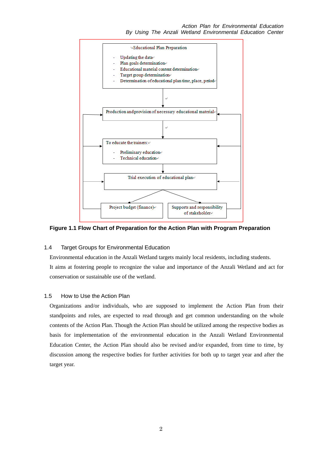

**Figure 1.1 Flow Chart of Preparation for the Action Plan with Program Preparation** 

#### 1.4 Target Groups for Environmental Education

Environmental education in the Anzali Wetland targets mainly local residents, including students. It aims at fostering people to recognize the value and importance of the Anzali Wetland and act for conservation or sustainable use of the wetland.

#### 1.5 How to Use the Action Plan

Organizations and/or individuals, who are supposed to implement the Action Plan from their standpoints and roles, are expected to read through and get common understanding on the whole contents of the Action Plan. Though the Action Plan should be utilized among the respective bodies as basis for implementation of the environmental education in the Anzali Wetland Environmental Education Center, the Action Plan should also be revised and/or expanded, from time to time, by discussion among the respective bodies for further activities for both up to target year and after the target year.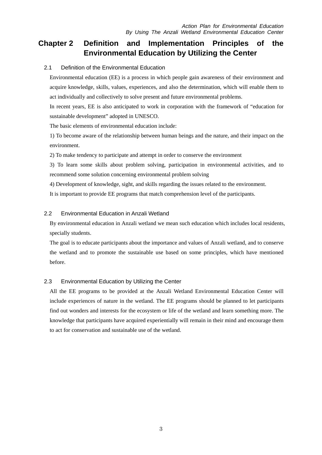# **Chapter 2 Definition and Implementation Principles of the Environmental Education by Utilizing the Center**

#### 2.1 Definition of the Environmental Education

Environmental education (EE) is a process in which people gain awareness of their environment and acquire knowledge, skills, values, experiences, and also the determination, which will enable them to act individually and collectively to solve present and future environmental problems.

In recent years, EE is also anticipated to work in corporation with the framework of "education for sustainable development" adopted in UNESCO.

The basic elements of environmental education include:

1) To become aware of the relationship between human beings and the nature, and their impact on the environment.

2) To make tendency to participate and attempt in order to conserve the environment

3) To learn some skills about problem solving, participation in environmental activities, and to recommend some solution concerning environmental problem solving

4) Development of knowledge, sight, and skills regarding the issues related to the environment.

It is important to provide EE programs that match comprehension level of the participants.

#### 2.2 Environmental Education in Anzali Wetland

By environmental education in Anzali wetland we mean such education which includes local residents, specially students.

The goal is to educate participants about the importance and values of Anzali wetland, and to conserve the wetland and to promote the sustainable use based on some principles, which have mentioned before.

#### 2.3 Environmental Education by Utilizing the Center

All the EE programs to be provided at the Anzali Wetland Environmental Education Center will include experiences of nature in the wetland. The EE programs should be planned to let participants find out wonders and interests for the ecosystem or life of the wetland and learn something more. The knowledge that participants have acquired experientially will remain in their mind and encourage them to act for conservation and sustainable use of the wetland.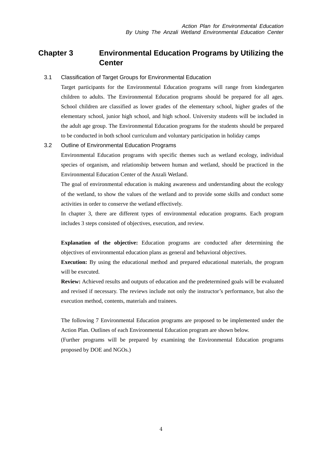## **Chapter 3 Environmental Education Programs by Utilizing the Center**

#### 3.1 Classification of Target Groups for Environmental Education

Target participants for the Environmental Education programs will range from kindergarten children to adults. The Environmental Education programs should be prepared for all ages. School children are classified as lower grades of the elementary school, higher grades of the elementary school, junior high school, and high school. University students will be included in the adult age group. The Environmental Education programs for the students should be prepared to be conducted in both school curriculum and voluntary participation in holiday camps

#### 3.2 Outline of Environmental Education Programs

Environmental Education programs with specific themes such as wetland ecology, individual species of organism, and relationship between human and wetland, should be practiced in the Environmental Education Center of the Anzali Wetland.

The goal of environmental education is making awareness and understanding about the ecology of the wetland, to show the values of the wetland and to provide some skills and conduct some activities in order to conserve the wetland effectively.

In chapter 3, there are different types of environmental education programs. Each program includes 3 steps consisted of objectives, execution, and review.

**Explanation of the objective:** Education programs are conducted after determining the objectives of environmental education plans as general and behavioral objectives.

**Execution:** By using the educational method and prepared educational materials, the program will be executed.

**Review:** Achieved results and outputs of education and the predetermined goals will be evaluated and revised if necessary. The reviews include not only the instructor's performance, but also the execution method, contents, materials and trainees.

The following 7 Environmental Education programs are proposed to be implemented under the Action Plan. Outlines of each Environmental Education program are shown below.

(Further programs will be prepared by examining the Environmental Education programs proposed by DOE and NGOs.)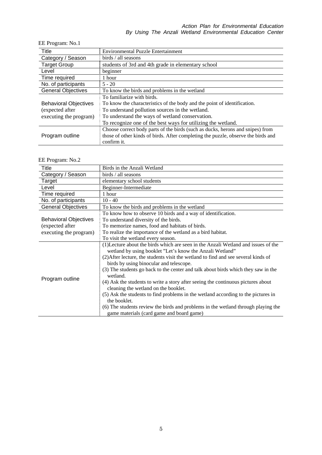| Title                        | <b>Environmental Puzzle Entertainment</b>                                         |
|------------------------------|-----------------------------------------------------------------------------------|
| Category / Season            | birds / all seasons                                                               |
| <b>Target Group</b>          | students of 3rd and 4th grade in elementary school                                |
| Level                        | beginner                                                                          |
| Time required                | 1 hour                                                                            |
| No. of participants          | $5 - 20$                                                                          |
| <b>General Objectives</b>    | To know the birds and problems in the wetland                                     |
|                              | To familiarize with birds.                                                        |
| <b>Behavioral Objectives</b> | To know the characteristics of the body and the point of identification.          |
| (expected after              | To understand pollution sources in the wetland.                                   |
| executing the program)       | To understand the ways of wetland conservation.                                   |
|                              | To recognize one of the best ways for utilizing the wetland.                      |
|                              | Choose correct body parts of the birds (such as ducks, herons and snipes) from    |
| Program outline              | those of other kinds of birds. After completing the puzzle, observe the birds and |
|                              | confirm it.                                                                       |

#### EE Program: No.2

| Title                        | Birds in the Anzali Wetland                                                        |
|------------------------------|------------------------------------------------------------------------------------|
| Category / Season            | birds / all seasons                                                                |
| Target                       | elementary school students                                                         |
| Level                        | Beginner-Intermediate                                                              |
| Time required                | 1 hour                                                                             |
| No. of participants          | $10 - 40$                                                                          |
| <b>General Objectives</b>    | To know the birds and problems in the wetland                                      |
|                              | To know how to observe 10 birds and a way of identification.                       |
| <b>Behavioral Objectives</b> | To understand diversity of the birds.                                              |
| (expected after              | To memorize names, food and habitats of birds.                                     |
| executing the program)       | To realize the importance of the wetland as a bird habitat.                        |
|                              | To visit the wetland every season.                                                 |
|                              | (1) Lecture about the birds which are seen in the Anzali Wetland and issues of the |
|                              | wetland by using booklet "Let's know the Anzali Wetland"                           |
|                              | (2) After lecture, the students visit the wetland to find and see several kinds of |
|                              | birds by using binocular and telescope.                                            |
|                              | (3) The students go back to the center and talk about birds which they saw in the  |
|                              | wetland.                                                                           |
| Program outline              | (4) Ask the students to write a story after seeing the continuous pictures about   |
|                              | cleaning the wetland on the booklet.                                               |
|                              | (5) Ask the students to find problems in the wetland according to the pictures in  |
|                              | the booklet.                                                                       |
|                              | (6) The students review the birds and problems in the wetland through playing the  |
|                              | game materials (card game and board game)                                          |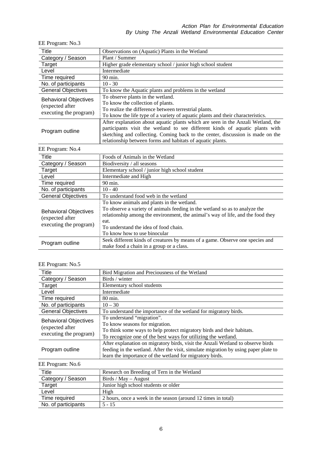÷,

EE Program: No.3

| Title                                                                     | Observations on (Aquatic) Plants in the Wetland                                                                                                                                                                                                                                                                  |
|---------------------------------------------------------------------------|------------------------------------------------------------------------------------------------------------------------------------------------------------------------------------------------------------------------------------------------------------------------------------------------------------------|
| Category / Season                                                         | Plant / Summer                                                                                                                                                                                                                                                                                                   |
| Target                                                                    | Higher grade elementary school / junior high school student                                                                                                                                                                                                                                                      |
| Level                                                                     | Intermediate                                                                                                                                                                                                                                                                                                     |
| Time required                                                             | 90 min.                                                                                                                                                                                                                                                                                                          |
| No. of participants                                                       | $10 - 30$                                                                                                                                                                                                                                                                                                        |
| <b>General Objectives</b>                                                 | To know the Aquatic plants and problems in the wetland                                                                                                                                                                                                                                                           |
| <b>Behavioral Objectives</b><br>(expected after<br>executing the program) | To observe plants in the wetland.<br>To know the collection of plants.<br>To realize the difference between terrestrial plants.<br>To know the life type of a variety of aquatic plants and their characteristics.                                                                                               |
| Program outline                                                           | After explanation about aquatic plants which are seen in the Anzali Wetland, the<br>participants visit the wetland to see different kinds of aquatic plants with<br>sketching and collecting. Coming back to the center, discussion is made on the<br>relationship between forms and habitats of aquatic plants. |
| EE Program: No.4                                                          |                                                                                                                                                                                                                                                                                                                  |
| Title                                                                     | Foods of Animals in the Wetland                                                                                                                                                                                                                                                                                  |
| Category / Season                                                         | Biodiversity / all seasons                                                                                                                                                                                                                                                                                       |
| Target                                                                    | Elementary school / junior high school student                                                                                                                                                                                                                                                                   |
| Level                                                                     | Intermediate and High                                                                                                                                                                                                                                                                                            |
| Time required                                                             | 90 min.                                                                                                                                                                                                                                                                                                          |
| No. of participants                                                       | $10 - 40$                                                                                                                                                                                                                                                                                                        |
| <b>General Objectives</b>                                                 | To understand food web in the wetland                                                                                                                                                                                                                                                                            |
| <b>Behavioral Objectives</b><br>(expected after<br>executing the program) | To know animals and plants in the wetland.<br>To observe a variety of animals feeding in the wetland so as to analyze the<br>relationship among the environment, the animal's way of life, and the food they<br>eat.<br>To understand the idea of food aboun                                                     |

| executing the program) | To understand the idea of food chain.                                                                                     |
|------------------------|---------------------------------------------------------------------------------------------------------------------------|
|                        | To know how to use binocular                                                                                              |
| Program outline        | Seek different kinds of creatures by means of a game. Observe one species and<br>make food a chain in a group or a class. |

#### EE Program: No.5

| <b>Title</b>                                                              | Bird Migration and Preciousness of the Wetland                                                                                                                                                                                     |
|---------------------------------------------------------------------------|------------------------------------------------------------------------------------------------------------------------------------------------------------------------------------------------------------------------------------|
| Category / Season                                                         | Birds / winter                                                                                                                                                                                                                     |
| Target                                                                    | Elementary school students                                                                                                                                                                                                         |
| Level                                                                     | Intermediate                                                                                                                                                                                                                       |
| Time required                                                             | 80 min.                                                                                                                                                                                                                            |
| No. of participants                                                       | $10 - 30$                                                                                                                                                                                                                          |
| <b>General Objectives</b>                                                 | To understand the importance of the wetland for migratory birds.                                                                                                                                                                   |
| <b>Behavioral Objectives</b><br>(expected after<br>executing the program) | To understand "migration".<br>To know seasons for migration.<br>To think some ways to help protect migratory birds and their habitats.<br>To recognize one of the best ways for utilizing the wetland.                             |
| Program outline                                                           | After explanation on migratory birds, visit the Anzali Wetland to observe birds<br>feeding in the wetland. After the visit, simulate migration by using paper plate to<br>learn the importance of the wetland for migratory birds. |

#### EE Program: No.6

| Title               | Research on Breeding of Tern in the Wetland                   |
|---------------------|---------------------------------------------------------------|
| Category / Season   | Birds / May $-$ August                                        |
| <b>Target</b>       | Junior high school students or older                          |
| Level               | High                                                          |
| Time required       | 2 hours, once a week in the season (around 12 times in total) |
| No. of participants | $5 - 15$                                                      |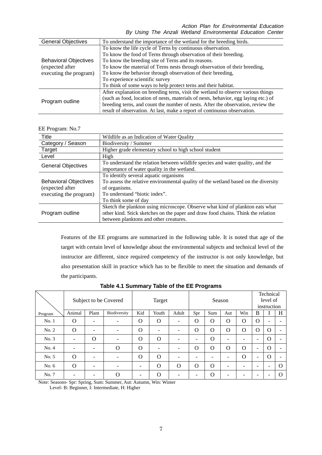| <b>General Objectives</b>                                                 | To understand the importance of the wetland for the breeding birds.                 |
|---------------------------------------------------------------------------|-------------------------------------------------------------------------------------|
|                                                                           | To know the life cycle of Terns by continuous observation.                          |
|                                                                           | To know the food of Terns through observation of their breeding.                    |
| <b>Behavioral Objectives</b><br>(expected after<br>executing the program) | To know the breeding site of Terns and its reasons.                                 |
|                                                                           | To know the material of Terns nests through observation of their breeding,          |
|                                                                           | To know the behavior through observation of their breeding,                         |
|                                                                           | To experience scientific survey                                                     |
|                                                                           | To think of some ways to help protect terns and their habitat.                      |
| Program outline                                                           | After explanation on breeding terns, visit the wetland to observe various things    |
|                                                                           | (such as food, location of nests, materials of nests, behavior, egg laying etc.) of |
|                                                                           | breeding terns, and count the number of nests. After the observation, review the    |
|                                                                           | result of observation. At last, make a report of continuous observation.            |

EE Program: No.7

| Title                        | Wildlife as an Indication of Water Quality                                         |
|------------------------------|------------------------------------------------------------------------------------|
| Category / Season            | Biodiversity / Summer                                                              |
| Target                       | Higher grade elementary school to high school student                              |
| Level                        | High                                                                               |
| <b>General Objectives</b>    | To understand the relation between wildlife species and water quality, and the     |
|                              | importance of water quality in the wetland.                                        |
|                              | To identify several aquatic organisms                                              |
| <b>Behavioral Objectives</b> | To assess the relative environmental quality of the wetland based on the diversity |
| (expected after              | of organisms.                                                                      |
| executing the program)       | To understand "biotic index".                                                      |
|                              | To think some of day                                                               |
|                              | Sketch the plankton using microscope. Observe what kind of plankton eats what      |
| Program outline              | other kind. Stick sketches on the paper and draw food chains. Think the relation   |
|                              | between planktons and other creatures.                                             |

Features of the EE programs are summarized in the following table. It is noted that age of the target with certain level of knowledge about the environmental subjects and technical level of the instructor are different, since required competency of the instructor is not only knowledge, but also presentation skill in practice which has to be flexible to meet the situation and demands of the participants.

|         |                          |                          | Subject to be Covered    |          | Target   |                          | Season                   |          | Technical<br>level of<br>instruction |             |                          |             |   |
|---------|--------------------------|--------------------------|--------------------------|----------|----------|--------------------------|--------------------------|----------|--------------------------------------|-------------|--------------------------|-------------|---|
| Program | Animal                   | Plant                    | Biodiversity             | Kid      | Youth    | Adult                    | Win<br>Spr<br>Sum<br>Aut |          | B                                    |             | H                        |             |   |
| No.1    | $\Omega$                 | $\overline{\phantom{a}}$ | $\overline{\phantom{a}}$ | $\Omega$ | $\Omega$ | $\overline{\phantom{0}}$ | O                        | $\Omega$ | $\Omega$                             | O           | $\Omega$                 |             |   |
| No. 2   | $\Omega$                 | $\overline{\phantom{0}}$ | ۰                        | $\Omega$ |          |                          | O                        | $\Omega$ | $\Omega$                             | $\Omega$    | $\mathbf O$              | $\Omega$    |   |
| No. 3   | ۰                        | $\Omega$                 | ۰                        | O        | $\Omega$ |                          | $\overline{\phantom{a}}$ | $\Omega$ | -                                    |             | -                        | O           |   |
| No. 4   |                          |                          | $\Omega$                 | $\Omega$ |          |                          | $\Omega$                 | $\Omega$ | $\Omega$                             | $\Omega$    | Ξ.                       | $\Omega$    |   |
| No. 5   | $\Omega$                 | $\overline{\phantom{a}}$ | $\overline{\phantom{a}}$ | $\Omega$ | $\Omega$ |                          | $\overline{\phantom{0}}$ |          | -                                    | $\mathbf O$ | $\overline{\phantom{a}}$ | $\mathbf O$ |   |
| No. $6$ | $\Omega$                 | $\overline{\phantom{0}}$ |                          |          | $\Omega$ | $\Omega$                 | $\Omega$                 | $\Omega$ | -                                    |             | $\overline{\phantom{0}}$ |             | Ω |
| No. 7   | $\overline{\phantom{0}}$ | $\overline{\phantom{0}}$ | $\Omega$                 |          | $\Omega$ |                          | $\overline{\phantom{0}}$ | $\Omega$ | -                                    |             | -                        |             |   |

#### **Table 4.1 Summary Table of the EE Programs**

Note: Seasons- Spr: Spring, Sum: Summer, Aut: Autumn, Win: Winter

Level- B: Beginner, I: Intermediate, H: Higher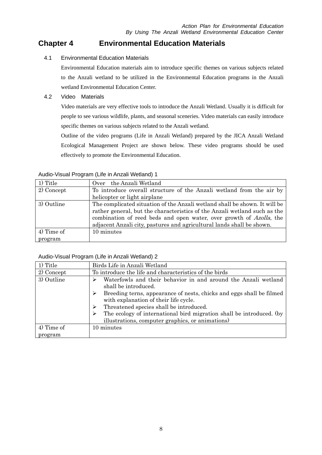## **Chapter 4 Environmental Education Materials**

4.1 Environmental Education Materials

Environmental Education materials aim to introduce specific themes on various subjects related to the Anzali wetland to be utilized in the Environmental Education programs in the Anzali wetland Environmental Education Center.

#### 4.2 Video Materials

Video materials are very effective tools to introduce the Anzali Wetland. Usually it is difficult for people to see various wildlife, plants, and seasonal sceneries. Video materials can easily introduce specific themes on various subjects related to the Anzali wetland.

Outline of the video programs (Life in Anzali Wetland) prepared by the JICA Anzali Wetland Ecological Management Project are shown below. These video programs should be used effectively to promote the Environmental Education.

| 1) Title   | the Anzali Wetland<br>Over                                                                                                                                                                                                                                                                              |
|------------|---------------------------------------------------------------------------------------------------------------------------------------------------------------------------------------------------------------------------------------------------------------------------------------------------------|
| 2) Concept | To introduce overall structure of the Anzali wetland from the air by                                                                                                                                                                                                                                    |
|            | helicopter or light airplane                                                                                                                                                                                                                                                                            |
| 3) Outline | The complicated situation of the Anzali wetland shall be shown. It will be<br>rather general, but the characteristics of the Anzali wetland such as the<br>combination of reed beds and open water, over growth of Azolla, the<br>adjacent Anzali city, pastures and agricultural lands shall be shown. |
| 4) Time of | 10 minutes                                                                                                                                                                                                                                                                                              |
| program    |                                                                                                                                                                                                                                                                                                         |

#### Audio-Visual Program (Life in Anzali Wetland) 1

#### Audio-Visual Program (Life in Anzali Wetland) 2

| 1) Title                | Birds Life in Anzali Wetland                                                                                                                                                                                                                                                                                                                                                   |  |  |
|-------------------------|--------------------------------------------------------------------------------------------------------------------------------------------------------------------------------------------------------------------------------------------------------------------------------------------------------------------------------------------------------------------------------|--|--|
| 2) Concept              | To introduce the life and characteristics of the birds                                                                                                                                                                                                                                                                                                                         |  |  |
| 3) Outline              | Waterfowls and their behavior in and around the Anzali wetland<br>shall be introduced.<br>Breeding terns, appearance of nests, chicks and eggs shall be filmed<br>with explanation of their life cycle.<br>Threatened species shall be introduced.<br>The ecology of international bird migration shall be introduced. (by<br>illustrations, computer graphics, or animations) |  |  |
| $4)$ Time of<br>program | 10 minutes                                                                                                                                                                                                                                                                                                                                                                     |  |  |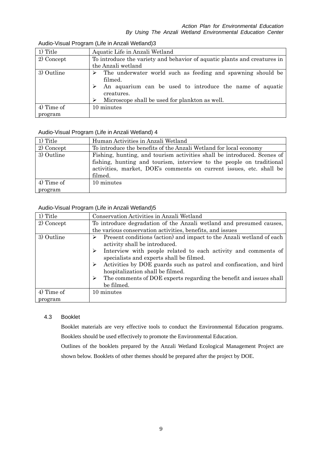| 1) Title     | Aquatic Life in Anzali Wetland                                              |  |  |  |
|--------------|-----------------------------------------------------------------------------|--|--|--|
| 2) Concept   | To introduce the variety and behavior of aquatic plants and creatures in    |  |  |  |
|              | the Anzali wetland                                                          |  |  |  |
| 3) Outline   | The underwater world such as feeding and spawning should be<br>➤<br>filmed. |  |  |  |
|              | An aquarium can be used to introduce the name of aquatic<br>creatures.      |  |  |  |
|              | Microscope shall be used for plankton as well.<br>↘                         |  |  |  |
| $4)$ Time of | 10 minutes                                                                  |  |  |  |
| program      |                                                                             |  |  |  |

#### Audio-Visual Program (Life in Anzali Wetland)3

#### Audio-Visual Program (Life in Anzali Wetland) 4

| 1) Title   | Human Activities in Anzali Wetland                                      |  |  |  |
|------------|-------------------------------------------------------------------------|--|--|--|
| 2) Concept | To introduce the benefits of the Anzali Wetland for local economy       |  |  |  |
| 3) Outline | Fishing, hunting, and tourism activities shall be introduced. Scenes of |  |  |  |
|            | fishing, hunting and tourism, interview to the people on traditional    |  |  |  |
|            | activities, market, DOE's comments on current issues, etc. shall be     |  |  |  |
|            | filmed.                                                                 |  |  |  |
| 4) Time of | 10 minutes                                                              |  |  |  |
| program    |                                                                         |  |  |  |

#### Audio-Visual Program (Life in Anzali Wetland)5

| 1) Title   | Conservation Activities in Anzali Wetland                                                                                                                                                                                                                                                                                                                                                                                   |  |  |
|------------|-----------------------------------------------------------------------------------------------------------------------------------------------------------------------------------------------------------------------------------------------------------------------------------------------------------------------------------------------------------------------------------------------------------------------------|--|--|
| 2) Concept | To introduce degradation of the Anzali wetland and presumed causes,                                                                                                                                                                                                                                                                                                                                                         |  |  |
|            | the various conservation activities, benefits, and issues                                                                                                                                                                                                                                                                                                                                                                   |  |  |
| 3) Outline | Present conditions (action) and impact to the Anzali wetland of each<br>activity shall be introduced.<br>Interview with people related to each activity and comments of<br>➤<br>specialists and experts shall be filmed.<br>Activities by DOE guards such as patrol and confiscation, and bird<br>hospitalization shall be filmed.<br>The comments of DOE experts regarding the benefit and issues shall<br>➤<br>be filmed. |  |  |
| 4) Time of | 10 minutes                                                                                                                                                                                                                                                                                                                                                                                                                  |  |  |
|            |                                                                                                                                                                                                                                                                                                                                                                                                                             |  |  |
| program    |                                                                                                                                                                                                                                                                                                                                                                                                                             |  |  |

#### 4.3 Booklet

Booklet materials are very effective tools to conduct the Environmental Education programs. Booklets should be used effectively to promote the Environmental Education.

Outlines of the booklets prepared by the Anzali Wetland Ecological Management Project are shown below. Booklets of other themes should be prepared after the project by DOE.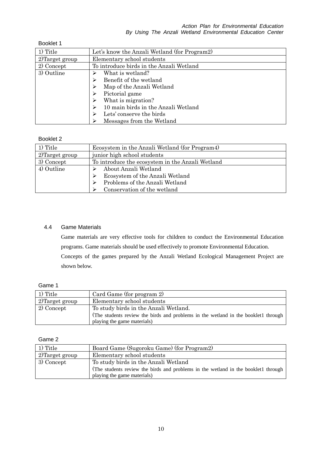Booklet 1

| 1) Title        | Let's know the Anzali Wetland (for Program2) |  |  |
|-----------------|----------------------------------------------|--|--|
| 2) Target group | Elementary school students                   |  |  |
| 2) Concept      | To introduce birds in the Anzali Wetland     |  |  |
| 3) Outline      | What is wetland?                             |  |  |
|                 | Benefit of the wetland                       |  |  |
|                 | Map of the Anzali Wetland                    |  |  |
|                 | Pictorial game                               |  |  |
|                 | What is migration?                           |  |  |
|                 | 10 main birds in the Anzali Wetland          |  |  |
|                 | Lets' conserve the birds                     |  |  |
|                 | Messages from the Wetland                    |  |  |

#### Booklet 2

| 1) Title        | Ecosystem in the Anzali Wetland (for Program4)   |
|-----------------|--------------------------------------------------|
| 2) Target group | junior high school students                      |
| 3) Concept      | To introduce the ecosystem in the Anzali Wetland |
| 4) Outline      | About Anzali Wetland                             |
|                 | Ecosystem of the Anzali Wetland                  |
|                 | Problems of the Anzali Wetland                   |
|                 | Conservation of the wetland                      |

#### 4.4 Game Materials

Game materials are very effective tools for children to conduct the Environmental Education programs. Game materials should be used effectively to promote Environmental Education. Concepts of the games prepared by the Anzali Wetland Ecological Management Project are shown below.

#### Game 1

| 1) Title       | Card Game (for program 2)                                                          |
|----------------|------------------------------------------------------------------------------------|
| 2)Target group | Elementary school students                                                         |
| 2) Concept     | To study birds in the Anzali Wetland.                                              |
|                | (The students review the birds and problems in the wetland in the booklet1 through |
|                | playing the game materials)                                                        |

#### Game 2

| 1) Title          | Board Game (Sugoroku Game) (for Program2)                                          |  |  |
|-------------------|------------------------------------------------------------------------------------|--|--|
| $2)$ Target group | Elementary school students                                                         |  |  |
| 3) Concept        | To study birds in the Anzali Wetland                                               |  |  |
|                   | (The students review the birds and problems in the wetland in the booklet1 through |  |  |
|                   | playing the game materials)                                                        |  |  |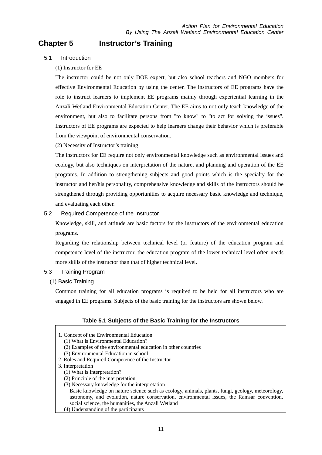# **Chapter 5 Instructor's Training**

#### 5.1 Introduction

#### (1) Instructor for EE

The instructor could be not only DOE expert, but also school teachers and NGO members for effective Environmental Education by using the center. The instructors of EE programs have the role to instruct learners to implement EE programs mainly through experiential learning in the Anzali Wetland Environmental Education Center. The EE aims to not only teach knowledge of the environment, but also to facilitate persons from "to know" to "to act for solving the issues". Instructors of EE programs are expected to help learners change their behavior which is preferable from the viewpoint of environmental conservation.

(2) Necessity of Instructor's training

The instructors for EE require not only environmental knowledge such as environmental issues and ecology, but also techniques on interpretation of the nature, and planning and operation of the EE programs. In addition to strengthening subjects and good points which is the specialty for the instructor and her/his personality, comprehensive knowledge and skills of the instructors should be strengthened through providing opportunities to acquire necessary basic knowledge and technique, and evaluating each other.

#### 5.2 Required Competence of the Instructor

Knowledge, skill, and attitude are basic factors for the instructors of the environmental education programs.

Regarding the relationship between technical level (or feature) of the education program and competence level of the instructor, the education program of the lower technical level often needs more skills of the instructor than that of higher technical level.

#### 5.3 Training Program

#### (1) Basic Training

Common training for all education programs is required to be held for all instructors who are engaged in EE programs. Subjects of the basic training for the instructors are shown below.

#### **Table 5.1 Subjects of the Basic Training for the Instructors**

- 1. Concept of the Environmental Education
	- (1) What is Environmental Education?
	- (2) Examples of the environmental education in other countries
	- (3) Environmental Education in school
- 2. Roles and Required Competence of the Instructor
- 3. Interpretation
	- (1) What is Interpretation?
	- (2) Principle of the interpretation
	- (3) Necessary knowledge for the interpretation

Basic knowledge on nature science such as ecology, animals, plants, fungi, geology, meteorology, astronomy, and evolution, nature conservation, environmental issues, the Ramsar convention, social science, the humanities, the Anzali Wetland

(4) Understanding of the participants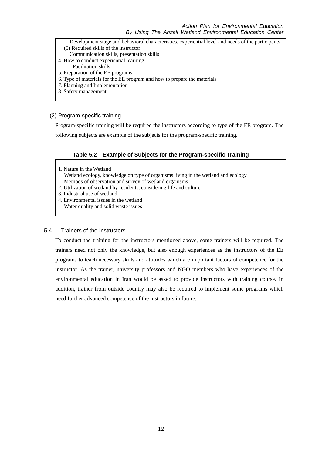Development stage and behavioral characteristics, experiential level and needs of the participants (5) Required skills of the instructor

- Communication skills, presentation skills
- 4. How to conduct experiential learning.
	- Facilitation skills
- 5. Preparation of the EE programs
- 6. Type of materials for the EE program and how to prepare the materials
- 7. Planning and Implementation
- 8. Safety management

#### (2) Program-specific training

Program-specific training will be required the instructors according to type of the EE program. The following subjects are example of the subjects for the program-specific training.

#### **Table 5.2 Example of Subjects for the Program-specific Training**

- 1. Nature in the Wetland Wetland ecology, knowledge on type of organisms living in the wetland and ecology Methods of observation and survey of wetland organisms
- 2. Utilization of wetland by residents, considering life and culture
- 3. Industrial use of wetland
- 4. Environmental issues in the wetland Water quality and solid waste issues

#### 5.4 Trainers of the Instructors

To conduct the training for the instructors mentioned above, some trainers will be required. The trainers need not only the knowledge, but also enough experiences as the instructors of the EE programs to teach necessary skills and attitudes which are important factors of competence for the instructor. As the trainer, university professors and NGO members who have experiences of the environmental education in Iran would be asked to provide instructors with training course. In addition, trainer from outside country may also be required to implement some programs which need further advanced competence of the instructors in future.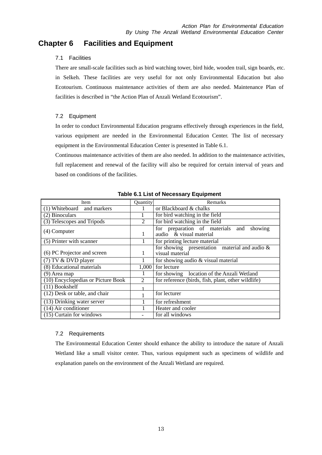## **Chapter 6 Facilities and Equipment**

#### 7.1 Facilities

There are small-scale facilities such as bird watching tower, bird hide, wooden trail, sign boards, etc. in Selkeh. These facilities are very useful for not only Environmental Education but also Ecotourism. Continuous maintenance activities of them are also needed. Maintenance Plan of facilities is described in "the Action Plan of Anzali Wetland Ecotourism".

#### 7.2 Equipment

In order to conduct Environmental Education programs effectively through experiences in the field, various equipment are needed in the Environmental Education Center. The list of necessary equipment in the Environmental Education Center is presented in Table 6.1.

Continuous maintenance activities of them are also needed. In addition to the maintenance activities, full replacement and renewal of the facility will also be required for certain interval of years and based on conditions of the facilities.

| Item                                    | Quantity       | Remarks                                                                |  |
|-----------------------------------------|----------------|------------------------------------------------------------------------|--|
| Whiteboard and markers                  |                | or Blackboard & chalks                                                 |  |
| (2) Binoculars                          |                | for bird watching in the field                                         |  |
| (3) Telescopes and Tripods              | $\overline{2}$ | for bird watching in the field                                         |  |
| $(4)$ Computer                          | 1              | for preparation of materials and<br>showing<br>audio & visual material |  |
| (5) Printer with scanner                |                | for printing lecture material                                          |  |
| (6) PC Projector and screen             | 1              | for showing presentation material and audio $\&$<br>visual material    |  |
| $(7) TV & DVD$ player                   | 1              | for showing audio & visual material                                    |  |
| (8) Educational materials               | 1,000          | for lecture                                                            |  |
| $(9)$ Area map                          |                | for showing location of the Anzali Wetland                             |  |
| (10) Encyclopedias or Picture Book      | 2              | for reference (birds, fish, plant, other wildlife)                     |  |
| $(11)$ Bookshelf                        |                |                                                                        |  |
| (12) Desk or table, and chair           |                | for lecturer                                                           |  |
| $\overline{(13)}$ Drinking water server |                | for refreshment                                                        |  |
| $(14)$ Air conditioner                  |                | Heater and cooler                                                      |  |
| $(15)$ Curtain for windows              |                | for all windows                                                        |  |

**Table 6.1 List of Necessary Equipment** 

#### 7.2 Requirements

The Environmental Education Center should enhance the ability to introduce the nature of Anzali Wetland like a small visitor center. Thus, various equipment such as specimens of wildlife and explanation panels on the environment of the Anzali Wetland are required.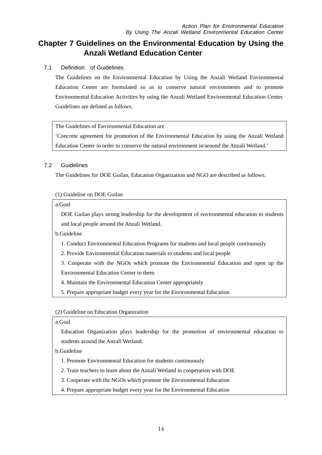# **Chapter 7 Guidelines on the Environmental Education by Using the Anzali Wetland Education Center**

#### 7.1 Definition of Guidelines

The Guidelines on the Environmental Education by Using the Anzali Wetland Environmental Education Center are formulated so as to conserve natural environments and to promote Environmental Education Activities by using the Anzali Wetland Environmental Education Center. Guidelines are defined as follows.

#### The Guidelines of Environmental Education are

'Concrete agreement for promotion of the Environmental Education by using the Anzali Wetland Education Center in order to conserve the natural environment in/around the Anzali Wetland.'

#### 7.2 Guidelines

The Guidelines for DOE Guilan, Education Organization and NGO are described as follows.

#### (1) Guideline on DOE Guilan

#### a.Goal

DOE Guilan plays strong leadership for the development of environmental education to students and local people around the Anzali Wetland.

b.Guideline

- 1. Conduct Environmental Education Programs for students and local people continuously
- 2. Provide Environmental Education materials to students and local people
- 3. Cooperate with the NGOs which promote the Environmental Education and open up the Environmental Education Center to them
- 4. Maintain the Environmental Education Center appropriately
- 5. Prepare appropriate budget every year for the Environmental Education

#### (2) Guideline on Education Organization

#### a.Goal

Education Organization plays leadership for the promotion of environmental education to students around the Anzali Wetland.

b.Guideline

- 1. Promote Environmental Education for students continuously
- 2. Train teachers to learn about the Anzali Wetland in cooperation with DOE
- 3. Cooperate with the NGOs which promote the Environmental Education
- 4. Prepare appropriate budget every year for the Environmental Education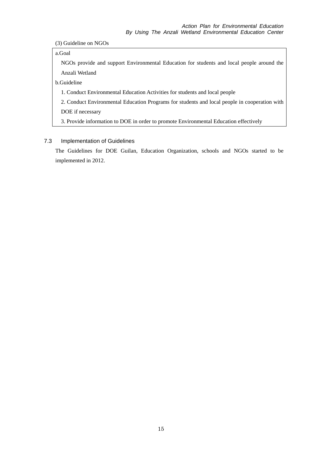(3) Guideline on NGOs

a.Goal

NGOs provide and support Environmental Education for students and local people around the Anzali Wetland

b.Guideline

1. Conduct Environmental Education Activities for students and local people

2. Conduct Environmental Education Programs for students and local people in cooperation with DOE if necessary

3. Provide information to DOE in order to promote Environmental Education effectively

#### 7.3 Implementation of Guidelines

The Guidelines for DOE Guilan, Education Organization, schools and NGOs started to be implemented in 2012.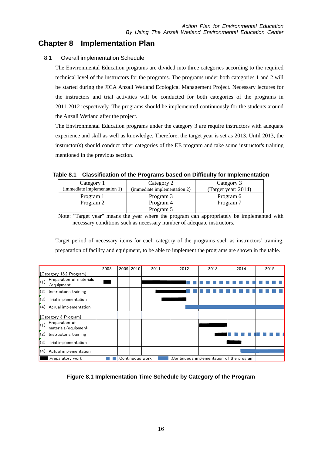## **Chapter 8 Implementation Plan**

#### 8.1 Overall implementation Schedule

The Environmental Education programs are divided into three categories according to the required technical level of the instructors for the programs. The programs under both categories 1 and 2 will be started during the JICA Anzali Wetland Ecological Management Project. Necessary lectures for the instructors and trial activities will be conducted for both categories of the programs in 2011-2012 respectively. The programs should be implemented continuously for the students around the Anzali Wetland after the project.

The Environmental Education programs under the category 3 are require instructors with adequate experience and skill as well as knowledge. Therefore, the target year is set as 2013. Until 2013, the instructor(s) should conduct other categories of the EE program and take some instructor's training mentioned in the previous section.

#### **Table 8.1 Classification of the Programs based on Difficulty for Implementation**

| Category 1                   | Category 2                   | Category 3          |  |
|------------------------------|------------------------------|---------------------|--|
| (immediate implementation 1) | (immediate implementation 2) | (Target year: 2014) |  |
| Program 1                    | Program 3                    | Program 6           |  |
| Program 2                    | Program 4                    | Program 7           |  |
|                              | Program 5                    |                     |  |

Note: "Target year" means the year where the program can appropriately be implemented with necessary conditions such as necessary number of adequate instructors.

Target period of necessary items for each category of the programs such as instructors' training, preparation of facility and equipment, to be able to implement the programs are shown in the table.

|                        |                                                   | 2008             |  | 2009 2010 | 2011 | 2012                                      | 2013 | 2014 | 2015 |
|------------------------|---------------------------------------------------|------------------|--|-----------|------|-------------------------------------------|------|------|------|
| [Category 1&2 Program] |                                                   |                  |  |           |      |                                           |      |      |      |
| (1)                    | Preparation of materials<br>$^{\prime}$ equipment |                  |  |           |      |                                           |      |      |      |
| (2)                    | Instructor's training                             |                  |  |           |      |                                           |      |      |      |
| (3)                    | Trial implementation                              |                  |  |           |      |                                           |      |      |      |
| (4)                    | Acrual implementation                             |                  |  |           |      |                                           |      |      |      |
| [Category 3 Program]   |                                                   |                  |  |           |      |                                           |      |      |      |
| (1)                    | Preparation of<br>materials/equipment             |                  |  |           |      |                                           |      |      |      |
| (2)                    | Instructor's training                             |                  |  |           |      |                                           |      |      |      |
| (3)                    | Trial implementation                              |                  |  |           |      |                                           |      |      |      |
| (4)                    | Actual implementation                             |                  |  |           |      |                                           |      |      |      |
|                        | :Preparatory work                                 | :Continuous work |  |           |      | :Continuous implementation of the program |      |      |      |

**Figure 8.1 Implementation Time Schedule by Category of the Program**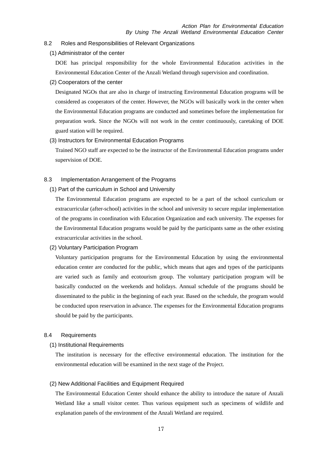#### 8.2 Roles and Responsibilities of Relevant Organizations

(1) Administrator of the center

DOE has principal responsibility for the whole Environmental Education activities in the Environmental Education Center of the Anzali Wetland through supervision and coordination.

(2) Cooperators of the center

Designated NGOs that are also in charge of instructing Environmental Education programs will be considered as cooperators of the center. However, the NGOs will basically work in the center when the Environmental Education programs are conducted and sometimes before the implementation for preparation work. Since the NGOs will not work in the center continuously, caretaking of DOE guard station will be required.

#### (3) Instructors for Environmental Education Programs

Trained NGO staff are expected to be the instructor of the Environmental Education programs under supervision of DOE.

- 8.3 Implementation Arrangement of the Programs
	- (1) Part of the curriculum in School and University

The Environmental Education programs are expected to be a part of the school curriculum or extracurricular (after-school) activities in the school and university to secure regular implementation of the programs in coordination with Education Organization and each university. The expenses for the Environmental Education programs would be paid by the participants same as the other existing extracurricular activities in the school.

(2) Voluntary Participation Program

Voluntary participation programs for the Environmental Education by using the environmental education center are conducted for the public, which means that ages and types of the participants are varied such as family and ecotourism group. The voluntary participation program will be basically conducted on the weekends and holidays. Annual schedule of the programs should be disseminated to the public in the beginning of each year. Based on the schedule, the program would be conducted upon reservation in advance. The expenses for the Environmental Education programs should be paid by the participants.

#### 8.4 Requirements

(1) Institutional Requirements

The institution is necessary for the effective environmental education. The institution for the environmental education will be examined in the next stage of the Project.

#### (2) New Additional Facilities and Equipment Required

The Environmental Education Center should enhance the ability to introduce the nature of Anzali Wetland like a small visitor center. Thus various equipment such as specimens of wildlife and explanation panels of the environment of the Anzali Wetland are required.